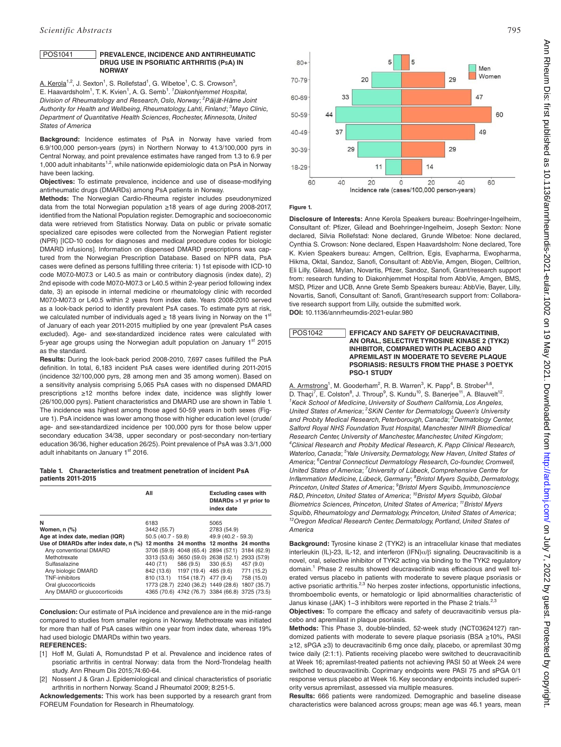### POS1041 **PREVALENCE, INCIDENCE AND ANTIRHEUMATIC DRUG USE IN PSORIATIC ARTHRITIS (PsA) IN NORWAY**

A. Kerola<sup>1,2</sup>, J. Sexton<sup>1</sup>, S. Rollefstad<sup>1</sup>, G. Wibetoe<sup>1</sup>, C. S. Crowson<sup>3</sup>, E. Haavardsholm<sup>1</sup>, T. K. Kvien<sup>1</sup>, A. G. Semb<sup>1</sup>. <sup>1</sup>Diakonhjemmet Hospital, *Division of Rheumatology and Research, Oslo, Norway*; *<sup>2</sup> Päijät-Häme Joint Authority for Health and Wellbeing, Rheumatology, Lahti, Finland*; *<sup>3</sup> Mayo Clinic, Department of Quantitative Health Sciences, Rochester, Minnesota, United States of America*

**Background:** Incidence estimates of PsA in Norway have varied from 6.9/100,000 person-years (pyrs) in Northern Norway to 41.3/100,000 pyrs in Central Norway, and point prevalence estimates have ranged from 1.3 to 6.9 per 1,000 adult inhabitants<sup>1,2</sup>, while nationwide epidemiologic data on PsA in Norway have been lacking.

**Objectives:** To estimate prevalence, incidence and use of disease-modifying antirheumatic drugs (DMARDs) among PsA patients in Norway.

**Methods:** The Norwegian Cardio-Rheuma register includes pseudonymized data from the total Norwegian population ≥18 years of age during 2008-2017, identified from the National Population register. Demographic and socioeconomic data were retrieved from Statistics Norway. Data on public or private somatic specialized care episodes were collected from the Norwegian Patient register (NPR) [ICD-10 codes for diagnoses and medical procedure codes for biologic DMARD infusions]. Information on dispensed DMARD prescriptions was captured from the Norwegian Prescription Database. Based on NPR data, PsA cases were defined as persons fulfilling three criteria: 1) 1st episode with ICD-10 code M07.0-M07.3 or L40.5 as main or contributory diagnosis (index date), 2) 2nd episode with code M07.0-M07.3 or L40.5 within 2-year period following index date, 3) an episode in internal medicine or rheumatology clinic with recorded M07.0-M07.3 or L40.5 within 2 years from index date. Years 2008-2010 served as a look-back period to identify prevalent PsA cases. To estimate pyrs at risk, we calculated number of individuals aged  $\geq 18$  years living in Norway on the 1st of January of each year 2011-2015 multiplied by one year (prevalent PsA cases excluded). Age- and sex-standardized incidence rates were calculated with 5-year age groups using the Norwegian adult population on January  $1<sup>st</sup>$  2015 as the standard.

**Results:** During the look-back period 2008-2010, 7,697 cases fulfilled the PsA definition. In total, 6,183 incident PsA cases were identified during 2011-2015 (incidence 32/100,000 pyrs, 28 among men and 35 among women). Based on a sensitivity analysis comprising 5,065 PsA cases with no dispensed DMARD prescriptions ≥12 months before index date, incidence was slightly lower (26/100,000 pyrs). Patient characteristics and DMARD use are shown in Table 1. The incidence was highest among those aged 50-59 years in both sexes (Figure 1). PsA incidence was lower among those with higher education level (crude/ age- and sex-standardized incidence per 100,000 pyrs for those below upper secondary education 34/38, upper secondary or post-secondary non-tertiary education 36/36, higher education 26/25). Point prevalence of PsA was 3.3/1,000 adult inhabitants on January 1<sup>st</sup> 2016.

**Table 1. Characteristics and treatment penetration of incident PsA patients 2011-2015**

|                                       | All<br><b>Excluding cases with</b><br>DMARDs >1 yr prior to<br>index date |                                  |                                                 |            |
|---------------------------------------|---------------------------------------------------------------------------|----------------------------------|-------------------------------------------------|------------|
| N                                     | 6183                                                                      |                                  | 5065                                            |            |
| Women, n (%)                          | 3442 (55.7)                                                               |                                  | 2783 (54.9)                                     |            |
| Age at index date, median (IQR)       | 50.5 (40.7 - 59.8)                                                        |                                  | 49.9 (40.2 - 59.3)                              |            |
| Use of DMARDs after index date, n (%) |                                                                           |                                  | 12 months 24 months 12 months 24 months         |            |
| Any conventional DMARD                |                                                                           |                                  | 3706 (59.9) 4048 (65.4) 2894 (57.1) 3184 (62.9) |            |
| Methotrexate                          |                                                                           |                                  | 3313 (53.6) 3650 (59.0) 2638 (52.1) 2933 (57.9) |            |
| Sulfasalazine                         | 440 (7.1)                                                                 | 586 (9.5)                        | 330 (6.5)                                       | 457 (9.0)  |
| Any biologic DMARD                    |                                                                           | 842 (13.6) 1197 (19.4) 485 (9.6) |                                                 | 771 (15.2) |
| <b>TNF-inhibitors</b>                 | 810 (13.1)                                                                | 1154 (18.7) 477 (9.4)            |                                                 | 758 (15.0) |
| Oral glucocorticoids                  |                                                                           |                                  | 1773 (28.7) 2240 (36.2) 1449 (28.6) 1807 (35.7) |            |
| Any DMARD or glucocorticoids          |                                                                           |                                  | 4365 (70.6) 4742 (76.7) 3384 (66.8) 3725 (73.5) |            |

**Conclusion:** Our estimate of PsA incidence and prevalence are in the mid-range compared to studies from smaller regions in Norway. Methotrexate was initiated for more than half of PsA cases within one year from index date, whereas 19% had used biologic DMARDs within two years.

# **REFERENCES:**

- [1] Hoff M, Gulati A, Romundstad P et al. Prevalence and incidence rates of psoriatic arthritis in central Norway: data from the Nord-Trondelag health study. Ann Rheum Dis 2015;74:60-64.
- [2] Nossent J & Gran J. Epidemiological and clinical characteristics of psoriatic arthritis in northern Norway. Scand J Rheumatol 2009; 8:251-5.

**Acknowledgements:** This work has been supported by a research grant from FOREUM Foundation for Research in Rheumatology.



# **Figure 1.**

**Disclosure of Interests:** Anne Kerola Speakers bureau: Boehringer-Ingelheim, Consultant of: Pfizer, Gilead and Boehringer-Ingelheim, Joseph Sexton: None declared, Silvia Rollefstad: None declared, Grunde Wibetoe: None declared, Cynthia S. Crowson: None declared, Espen Haavardsholm: None declared, Tore K. Kvien Speakers bureau: Amgen, Celltrion, Egis, Evapharma, Ewopharma, Hikma, Oktal, Sandoz, Sanofi, Consultant of: AbbVie, Amgen, Biogen, Celltrion, Eli Lilly, Gilead, Mylan, Novartis, Pfizer, Sandoz, Sanofi, Grant/research support from: research funding to Diakonhjemmet Hospital from AbbVie, Amgen, BMS, MSD, Pfizer and UCB, Anne Grete Semb Speakers bureau: AbbVie, Bayer, Lilly, Novartis, Sanofi, Consultant of: Sanofi, Grant/research support from: Collaborative research support from Lilly, outside the submitted work. **DOI:** 10.1136/annrheumdis-2021-eular.980

POS1042 **EFFICACY AND SAFETY OF DEUCRAVACITINIB, AN ORAL, SELECTIVE TYROSINE KINASE 2 (TYK2) INHIBITOR, COMPARED WITH PLACEBO AND APREMILAST IN MODERATE TO SEVERE PLAQUE PSORIASIS: RESULTS FROM THE PHASE 3 POETYK PSO-1 STUDY**

A. Armstrong<sup>1</sup>, M. Gooderham<sup>2</sup>, R. B. Warren<sup>3</sup>, K. Papp<sup>4</sup>, B. Strober<sup>5,6</sup>, D. Thaçi<sup>7</sup>, E. Colston<sup>8</sup>, J. Throup<sup>9</sup>, S. Kundu<sup>10</sup>, S. Banerjee<sup>11</sup>, A. Blauvelt<sup>12</sup>. <sup>1</sup> Keck School of Medicine, University of Southern California, Los Angeles, United States of America; <sup>2</sup> SKiN Center for Dermatology, Queen's University *and Probity Medical Research, Peterborough, Canada*; *<sup>3</sup> Dermatology Center, Salford Royal NHS Foundation Trust Hospital, Manchester NIHR Biomedical Research Center, University of Manchester, Manchester, United Kingdom*; *4 Clinical Research and Probity Medical Research, K. Papp Clinical Research,*  Waterloo, Canada; <sup>5</sup>Yale University, Dermatology, New Haven, United States of *America*; *<sup>6</sup> Central Connecticut Dermatology Research, Co-founder, Cromwell,*  United States of America; <sup>7</sup> University of Lübeck, Comprehensive Centre for *Inflammation Medicine, Lübeck, Germany*; *<sup>8</sup> Bristol Myers Squibb, Dermatology, Princeton, United States of America*; *<sup>9</sup> Bristol Myers Squibb, Immunoscience R&D, Princeton, United States of America*; *10Bristol Myers Squibb, Global Biometrics Sciences, Princeton, United States of America*; *11Bristol Myers Squibb, Rheumatology and Dermatology, Princeton, United States of America*; *12Oregon Medical Research Center, Dermatology, Portland, United States of America*

**Background:** Tyrosine kinase 2 (TYK2) is an intracellular kinase that mediates interleukin (IL)-23, IL-12, and interferon (IFN)α/β signaling. Deucravacitinib is a novel, oral, selective inhibitor of TYK2 acting via binding to the TYK2 regulatory domain.<sup>1</sup> Phase 2 results showed deucravacitinib was efficacious and well tolerated versus placebo in patients with moderate to severe plaque psoriasis or active psoriatic arthritis.<sup>2,3</sup> No herpes zoster infections, opportunistic infections, thromboembolic events, or hematologic or lipid abnormalities characteristic of Janus kinase (JAK) 1–3 inhibitors were reported in the Phase 2 trials.<sup>2,3</sup>

**Objectives:** To compare the efficacy and safety of deucravacitinib versus placebo and apremilast in plaque psoriasis.

**Methods:** This Phase 3, double-blinded, 52-week study (NCT03624127) randomized patients with moderate to severe plaque psoriasis (BSA ≥10%, PASI ≥12, sPGA ≥3) to deucravacitinib 6mg once daily, placebo, or apremilast 30mg twice daily (2:1:1). Patients receiving placebo were switched to deucravacitinib at Week 16; apremilast-treated patients not achieving PASI 50 at Week 24 were switched to deucravacitinib. Coprimary endpoints were PASI 75 and sPGA 0/1 response versus placebo at Week 16. Key secondary endpoints included superiority versus apremilast, assessed via multiple measures.

**Results:** 666 patients were randomized. Demographic and baseline disease characteristics were balanced across groups; mean age was 46.1 years, mean